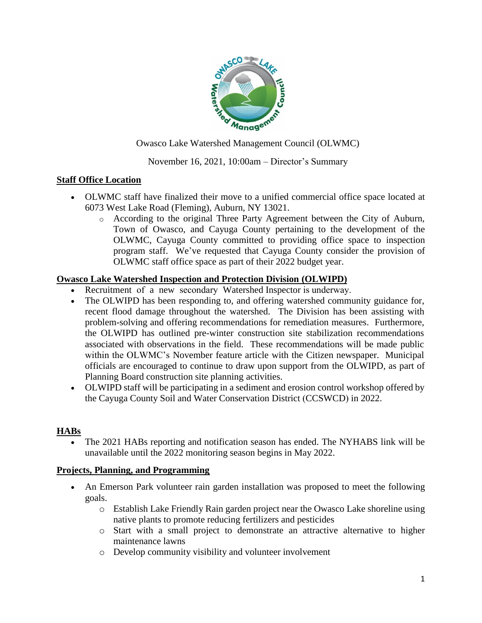

Owasco Lake Watershed Management Council (OLWMC)

# November 16, 2021, 10:00am – Director's Summary

### **Staff Office Location**

- OLWMC staff have finalized their move to a unified commercial office space located at 6073 West Lake Road (Fleming), Auburn, NY 13021.
	- o According to the original Three Party Agreement between the City of Auburn, Town of Owasco, and Cayuga County pertaining to the development of the OLWMC, Cayuga County committed to providing office space to inspection program staff. We've requested that Cayuga County consider the provision of OLWMC staff office space as part of their 2022 budget year.

### **Owasco Lake Watershed Inspection and Protection Division (OLWIPD)**

- Recruitment of a new secondary Watershed Inspector is underway.
- The OLWIPD has been responding to, and offering watershed community guidance for, recent flood damage throughout the watershed. The Division has been assisting with problem-solving and offering recommendations for remediation measures. Furthermore, the OLWIPD has outlined pre-winter construction site stabilization recommendations associated with observations in the field. These recommendations will be made public within the OLWMC's November feature article with the Citizen newspaper. Municipal officials are encouraged to continue to draw upon support from the OLWIPD, as part of Planning Board construction site planning activities.
- OLWIPD staff will be participating in a sediment and erosion control workshop offered by the Cayuga County Soil and Water Conservation District (CCSWCD) in 2022.

### **HABs**

 The 2021 HABs reporting and notification season has ended. The NYHABS link will be unavailable until the 2022 monitoring season begins in May 2022.

### **Projects, Planning, and Programming**

- An Emerson Park volunteer rain garden installation was proposed to meet the following goals.
	- o Establish Lake Friendly Rain garden project near the Owasco Lake shoreline using native plants to promote reducing fertilizers and pesticides
	- o Start with a small project to demonstrate an attractive alternative to higher maintenance lawns
	- o Develop community visibility and volunteer involvement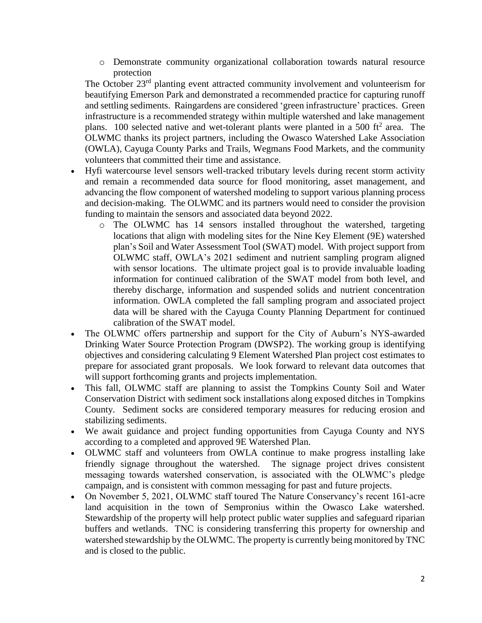o Demonstrate community organizational collaboration towards natural resource protection

The October 23rd planting event attracted community involvement and volunteerism for beautifying Emerson Park and demonstrated a recommended practice for capturing runoff and settling sediments. Raingardens are considered 'green infrastructure' practices. Green infrastructure is a recommended strategy within multiple watershed and lake management plans. 100 selected native and wet-tolerant plants were planted in a 500 ft<sup>2</sup> area. The OLWMC thanks its project partners, including the Owasco Watershed Lake Association (OWLA), Cayuga County Parks and Trails, Wegmans Food Markets, and the community volunteers that committed their time and assistance.

- Hyfi watercourse level sensors well-tracked tributary levels during recent storm activity and remain a recommended data source for flood monitoring, asset management, and advancing the flow component of watershed modeling to support various planning process and decision-making. The OLWMC and its partners would need to consider the provision funding to maintain the sensors and associated data beyond 2022.
	- o The OLWMC has 14 sensors installed throughout the watershed, targeting locations that align with modeling sites for the Nine Key Element (9E) watershed plan's Soil and Water Assessment Tool (SWAT) model. With project support from OLWMC staff, OWLA's 2021 sediment and nutrient sampling program aligned with sensor locations. The ultimate project goal is to provide invaluable loading information for continued calibration of the SWAT model from both level, and thereby discharge, information and suspended solids and nutrient concentration information. OWLA completed the fall sampling program and associated project data will be shared with the Cayuga County Planning Department for continued calibration of the SWAT model.
- The OLWMC offers partnership and support for the City of Auburn's NYS-awarded Drinking Water Source Protection Program (DWSP2). The working group is identifying objectives and considering calculating 9 Element Watershed Plan project cost estimates to prepare for associated grant proposals. We look forward to relevant data outcomes that will support forthcoming grants and projects implementation.
- This fall, OLWMC staff are planning to assist the Tompkins County Soil and Water Conservation District with sediment sock installations along exposed ditches in Tompkins County. Sediment socks are considered temporary measures for reducing erosion and stabilizing sediments.
- We await guidance and project funding opportunities from Cayuga County and NYS according to a completed and approved 9E Watershed Plan.
- OLWMC staff and volunteers from OWLA continue to make progress installing lake friendly signage throughout the watershed. The signage project drives consistent messaging towards watershed conservation, is associated with the OLWMC's pledge campaign, and is consistent with common messaging for past and future projects.
- On November 5, 2021, OLWMC staff toured The Nature Conservancy's recent 161-acre land acquisition in the town of Sempronius within the Owasco Lake watershed. Stewardship of the property will help protect public water supplies and safeguard riparian buffers and wetlands. TNC is considering transferring this property for ownership and watershed stewardship by the OLWMC. The property is currently being monitored by TNC and is closed to the public.